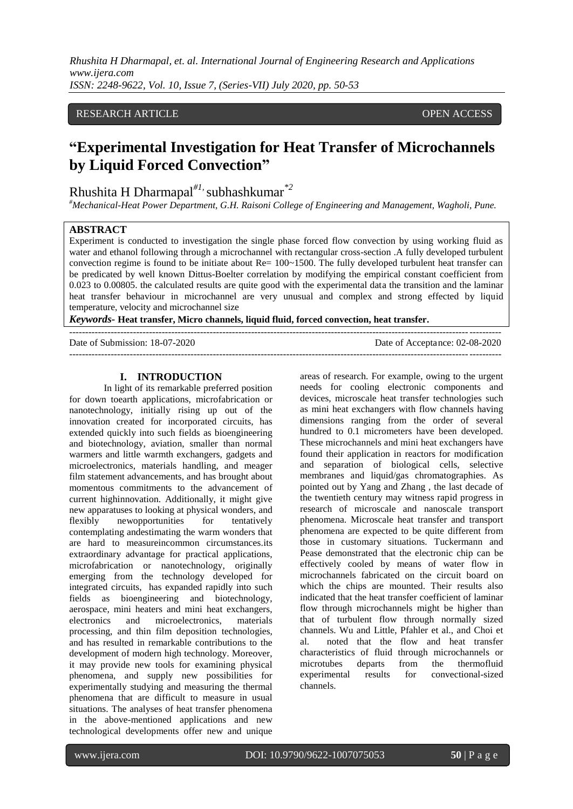*Rhushita H Dharmapal, et. al. International Journal of Engineering Research and Applications www.ijera.com ISSN: 2248-9622, Vol. 10, Issue 7, (Series-VII) July 2020, pp. 50-53*

#### RESEARCH ARTICLE **CONSERVERS** OPEN ACCESS

# **"Experimental Investigation for Heat Transfer of Microchannels by Liquid Forced Convection"**

## Rhushita H Dharmapal*#1,* subhashkumar*\*2*

*#Mechanical-Heat Power Department, G.H. Raisoni College of Engineering and Management, Wagholi, Pune.*

#### **ABSTRACT**

Experiment is conducted to investigation the single phase forced flow convection by using working fluid as water and ethanol following through a microchannel with rectangular cross-section .A fully developed turbulent convection regime is found to be initiate about Re= 100~1500. The fully developed turbulent heat transfer can be predicated by well known Dittus-Boelter correlation by modifying the empirical constant coefficient from 0.023 to 0.00805. the calculated results are quite good with the experimental data the transition and the laminar heat transfer behaviour in microchannel are very unusual and complex and strong effected by liquid temperature, velocity and microchannel size

*Keywords-* **Heat transfer, Micro channels, liquid fluid, forced convection, heat transfer.**

---------------------------------------------------------------------------------------------------------------------------------------

Date of Submission: 18-07-2020 Date of Acceptance: 02-08-2020

---------------------------------------------------------------------------------------------------------------------------------------

#### **I. INTRODUCTION**

In light of its remarkable preferred position for down toearth applications, microfabrication or nanotechnology, initially rising up out of the innovation created for incorporated circuits, has extended quickly into such fields as bioengineering and biotechnology, aviation, smaller than normal warmers and little warmth exchangers, gadgets and microelectronics, materials handling, and meager film statement advancements, and has brought about momentous commitments to the advancement of current highinnovation. Additionally, it might give new apparatuses to looking at physical wonders, and flexibly newopportunities for tentatively contemplating andestimating the warm wonders that are hard to measureincommon circumstances.its extraordinary advantage for practical applications, microfabrication or nanotechnology, originally emerging from the technology developed for integrated circuits, has expanded rapidly into such fields as bioengineering and biotechnology, aerospace, mini heaters and mini heat exchangers, electronics and microelectronics, materials processing, and thin film deposition technologies, and has resulted in remarkable contributions to the development of modern high technology. Moreover, it may provide new tools for examining physical phenomena, and supply new possibilities for experimentally studying and measuring the thermal phenomena that are difficult to measure in usual situations. The analyses of heat transfer phenomena in the above-mentioned applications and new technological developments offer new and unique

areas of research. For example, owing to the urgent needs for cooling electronic components and devices, microscale heat transfer technologies such as mini heat exchangers with flow channels having dimensions ranging from the order of several hundred to 0.1 micrometers have been developed. These microchannels and mini heat exchangers have found their application in reactors for modification and separation of biological cells, selective membranes and liquid/gas chromatographies. As pointed out by Yang and Zhang , the last decade of the twentieth century may witness rapid progress in research of microscale and nanoscale transport phenomena. Microscale heat transfer and transport phenomena are expected to be quite different from those in customary situations. Tuckermann and Pease demonstrated that the electronic chip can be effectively cooled by means of water flow in microchannels fabricated on the circuit board on which the chips are mounted. Their results also indicated that the heat transfer coefficient of laminar flow through microchannels might be higher than that of turbulent flow through normally sized channels. Wu and Little, Pfahler et al., and Choi et al. noted that the flow and heat transfer characteristics of fluid through microchannels or microtubes departs from the thermofluid experimental results for convectional-sized channels.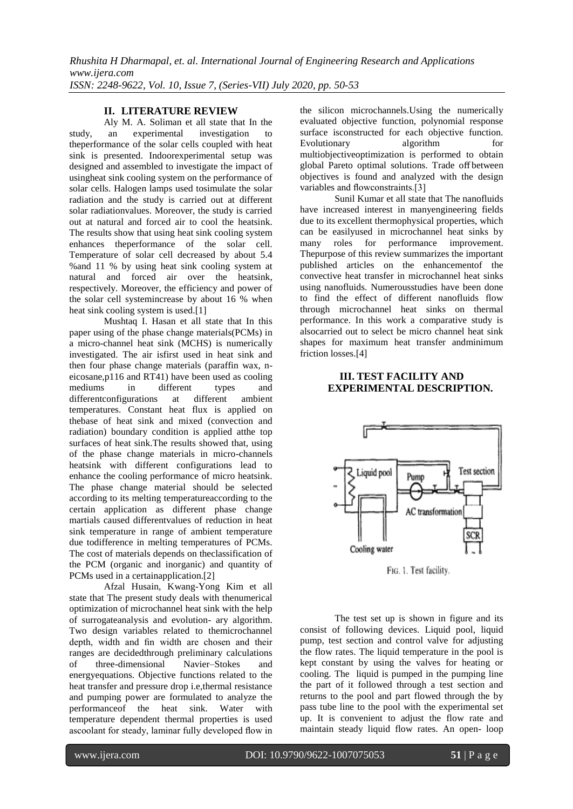*Rhushita H Dharmapal, et. al. International Journal of Engineering Research and Applications www.ijera.com ISSN: 2248-9622, Vol. 10, Issue 7, (Series-VII) July 2020, pp. 50-53*

#### **II. LITERATURE REVIEW**

Aly M. A. Soliman et all state that In the study, an experimental investigation to theperformance of the solar cells coupled with heat sink is presented. Indoorexperimental setup was designed and assembled to investigate the impact of usingheat sink cooling system on the performance of solar cells. Halogen lamps used tosimulate the solar radiation and the study is carried out at different solar radiationvalues. Moreover, the study is carried out at natural and forced air to cool the heatsink. The results show that using heat sink cooling system enhances theperformance of the solar cell. Temperature of solar cell decreased by about 5.4 %and 11 % by using heat sink cooling system at natural and forced air over the heatsink, respectively. Moreover, the efficiency and power of the solar cell systemincrease by about 16 % when heat sink cooling system is used.[1]

Mushtaq I. Hasan et all state that In this paper using of the phase change materials(PCMs) in a micro-channel heat sink (MCHS) is numerically investigated. The air isfirst used in heat sink and then four phase change materials (paraffin wax, neicosane,p116 and RT41) have been used as cooling mediums in different types and differentconfigurations at different ambient temperatures. Constant heat flux is applied on thebase of heat sink and mixed (convection and radiation) boundary condition is applied atthe top surfaces of heat sink.The results showed that, using of the phase change materials in micro-channels heatsink with different configurations lead to enhance the cooling performance of micro heatsink. The phase change material should be selected according to its melting temperatureaccording to the certain application as different phase change martials caused differentvalues of reduction in heat sink temperature in range of ambient temperature due todifference in melting temperatures of PCMs. The cost of materials depends on theclassification of the PCM (organic and inorganic) and quantity of PCMs used in a certainapplication.[2]

Afzal Husain, Kwang-Yong Kim et all state that The present study deals with thenumerical optimization of microchannel heat sink with the help of surrogateanalysis and evolution- ary algorithm. Two design variables related to themicrochannel depth, width and fin width are chosen and their ranges are decidedthrough preliminary calculations of three-dimensional Navier–Stokes and energyequations. Objective functions related to the heat transfer and pressure drop i.e,thermal resistance and pumping power are formulated to analyze the performanceof the heat sink. Water with temperature dependent thermal properties is used ascoolant for steady, laminar fully developed flow in the silicon microchannels.Using the numerically evaluated objective function, polynomial response surface isconstructed for each objective function. Evolutionary algorithm for multiobjectiveoptimization is performed to obtain global Pareto optimal solutions. Trade off between objectives is found and analyzed with the design variables and flowconstraints.[3]

Sunil Kumar et all state that The nanofluids have increased interest in manyengineering fields due to its excellent thermophysical properties, which can be easilyused in microchannel heat sinks by many roles for performance improvement. Thepurpose of this review summarizes the important published articles on the enhancementof the convective heat transfer in microchannel heat sinks using nanofluids. Numerousstudies have been done to find the effect of different nanofluids flow through microchannel heat sinks on thermal performance. In this work a comparative study is alsocarried out to select be micro channel heat sink shapes for maximum heat transfer andminimum friction losses.[4]

### **III. TEST FACILITY AND EXPERIMENTAL DESCRIPTION.**



FIG. 1. Test facility.

The test set up is shown in figure and its consist of following devices. Liquid pool, liquid pump, test section and control valve for adjusting the flow rates. The liquid temperature in the pool is kept constant by using the valves for heating or cooling. The liquid is pumped in the pumping line the part of it followed through a test section and returns to the pool and part flowed through the by pass tube line to the pool with the experimental set up. It is convenient to adjust the flow rate and maintain steady liquid flow rates. An open- loop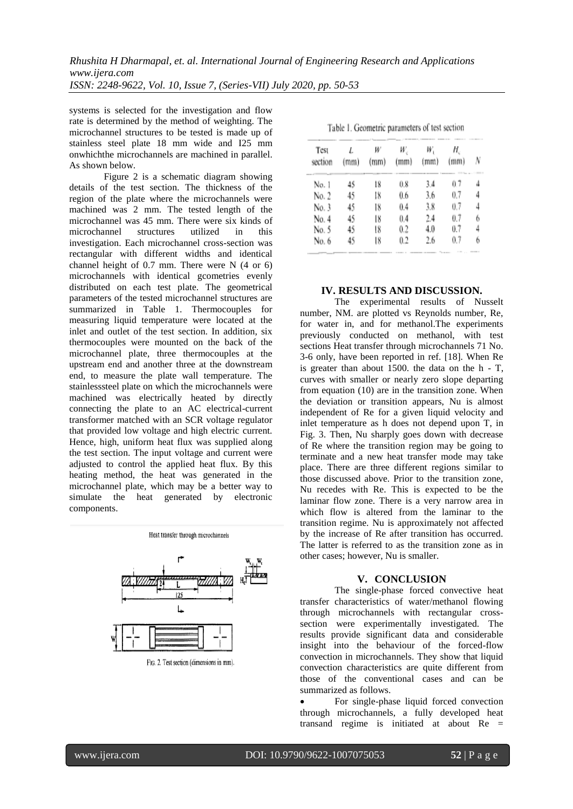systems is selected for the investigation and flow rate is determined by the method of weighting. The microchannel structures to be tested is made up of stainless steel plate 18 mm wide and I25 mm onwhichthe microchannels are machined in parallel. As shown below.

Figure 2 is a schematic diagram showing details of the test section. The thickness of the region of the plate where the microchannels were machined was 2 mm. The tested length of the microchannel was 45 mm. There were six kinds of microchannel structures utilized in this investigation. Each microchannel cross-section was rectangular with different widths and identical channel height of 0.7 mm. There were N (4 or 6) microchannels with identical gcometries evenly distributed on each test plate. The geometrical parameters of the tested microchannel structures are summarized in Table 1. Thermocouples for measuring liquid temperature were located at the inlet and outlet of the test section. In addition, six thermocouples were mounted on the back of the microchannel plate, three thermocouples at the upstream end and another three at the downstream end, to measure the plate wall temperature. The stainlesssteel plate on which the microchannels were machined was electrically heated by directly connecting the plate to an AC electrical-current transformer matched with an SCR voltage regulator that provided low voltage and high electric current. Hence, high, uniform heat flux was supplied along the test section. The input voltage and current were adjusted to control the applied heat flux. By this heating method, the heat was generated in the microchannel plate, which may be a better way to simulate the heat generated by electronic components.



Heat transfer through microchannels

FIG. 2. Test section (dimensions in mm).

| Test<br>section | (mm) | W<br>(mm) | W.<br>(mm) | W,<br>(mm) | Η.<br>(mm)                                                   |   |
|-----------------|------|-----------|------------|------------|--------------------------------------------------------------|---|
| No. 1           | 45   | 18        | 0.8        | 3.4        | <b>STATISTICS</b> AND A 11 MINUTES<br>i por executive<br>0.7 |   |
| No. 2           | 45   | I8        | 0.6        | 3.6        | $^{0.7}$                                                     | 4 |
| No. 3           | 45   | 18        | 0.4        | 3.8        | 0.7                                                          | 4 |
| No. 4           | 45   | 18        | 0.4        | 2.4        | 0.7                                                          | 6 |
| No. 5           | 45   | 18        | 0.2        | 4.0        | 0.7                                                          | 4 |
| No. 6           | 45   | 18        | 0.2        | 2.6        | $^{0.7}$                                                     | 6 |

Table 1. Geometric parameters of test section

#### **IV. RESULTS AND DISCUSSION.**

The experimental results of Nusselt number, NM. are plotted vs Reynolds number, Re, for water in, and for methanol.The experiments previously conducted on methanol, with test sections Heat transfer through microchannels 71 No. 3-6 only, have been reported in ref. [18]. When Re is greater than about  $1500$ . the data on the h - T, curves with smaller or nearly zero slope departing from equation (10) are in the transition zone. When the deviation or transition appears, Nu is almost independent of Re for a given liquid velocity and inlet temperature as h does not depend upon T, in Fig. 3. Then, Nu sharply goes down with decrease of Re where the transition region may be going to terminate and a new heat transfer mode may take place. There are three different regions similar to those discussed above. Prior to the transition zone, Nu recedes with Re. This is expected to be the laminar flow zone. There is a very narrow area in which flow is altered from the laminar to the transition regime. Nu is approximately not affected by the increase of Re after transition has occurred. The latter is referred to as the transition zone as in other cases; however, Nu is smaller.

#### **V. CONCLUSION**

The single-phase forced convective heat transfer characteristics of water/methanol flowing through microchannels with rectangular crosssection were experimentally investigated. The results provide significant data and considerable insight into the behaviour of the forced-flow convection in microchannels. They show that liquid convection characteristics are quite different from those of the conventional cases and can be summarized as follows.

 For single-phase liquid forced convection through microchannels, a fully developed heat transand regime is initiated at about Re =